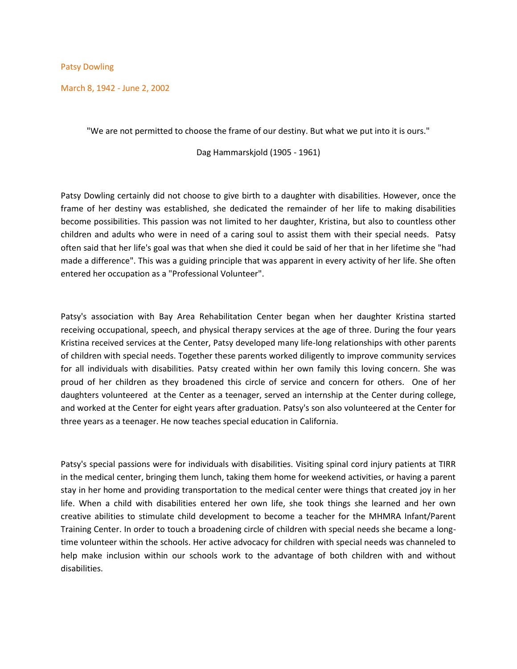Patsy Dowling

March 8, 1942 - June 2, 2002

"We are not permitted to choose the frame of our destiny. But what we put into it is ours."

Dag Hammarskjold (1905 - 1961)

Patsy Dowling certainly did not choose to give birth to a daughter with disabilities. However, once the frame of her destiny was established, she dedicated the remainder of her life to making disabilities become possibilities. This passion was not limited to her daughter, Kristina, but also to countless other children and adults who were in need of a caring soul to assist them with their special needs. Patsy often said that her life's goal was that when she died it could be said of her that in her lifetime she "had made a difference". This was a guiding principle that was apparent in every activity of her life. She often entered her occupation as a "Professional Volunteer".

Patsy's association with Bay Area Rehabilitation Center began when her daughter Kristina started receiving occupational, speech, and physical therapy services at the age of three. During the four years Kristina received services at the Center, Patsy developed many life-long relationships with other parents of children with special needs. Together these parents worked diligently to improve community services for all individuals with disabilities. Patsy created within her own family this loving concern. She was proud of her children as they broadened this circle of service and concern for others. One of her daughters volunteered at the Center as a teenager, served an internship at the Center during college, and worked at the Center for eight years after graduation. Patsy's son also volunteered at the Center for three years as a teenager. He now teaches special education in California.

Patsy's special passions were for individuals with disabilities. Visiting spinal cord injury patients at TIRR in the medical center, bringing them lunch, taking them home for weekend activities, or having a parent stay in her home and providing transportation to the medical center were things that created joy in her life. When a child with disabilities entered her own life, she took things she learned and her own creative abilities to stimulate child development to become a teacher for the MHMRA Infant/Parent Training Center. In order to touch a broadening circle of children with special needs she became a longtime volunteer within the schools. Her active advocacy for children with special needs was channeled to help make inclusion within our schools work to the advantage of both children with and without disabilities.